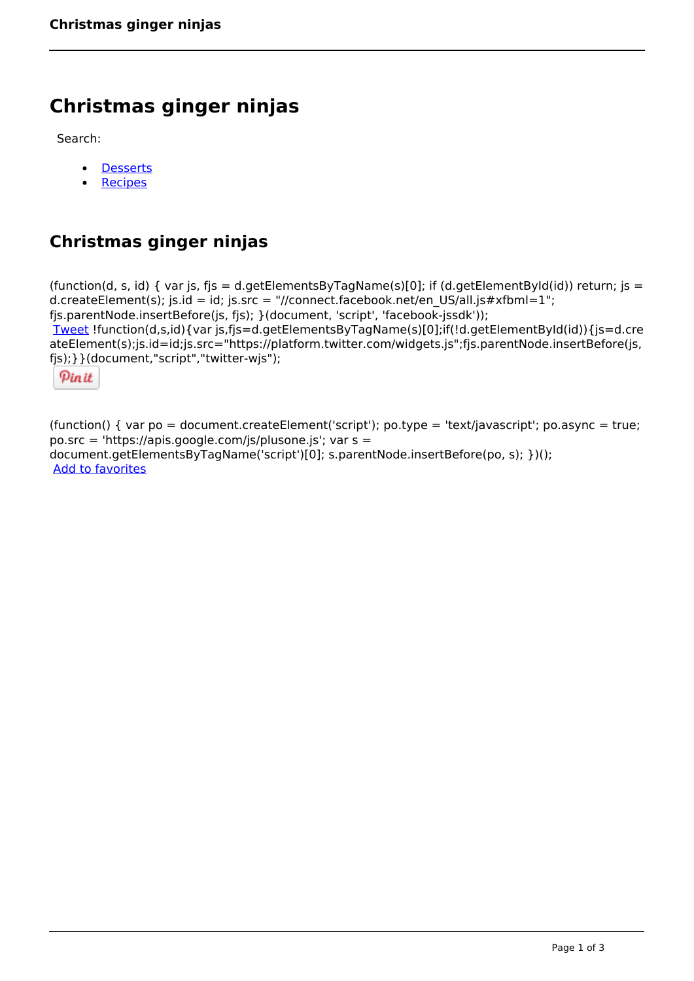# **Christmas ginger ninjas**

Search:

- **[Desserts](https://www.naturalhealthmag.com.au/nourish/desserts)**  $\bullet$
- **[Recipes](https://www.naturalhealthmag.com.au/nourish/recipes)**

# **Christmas ginger ninjas**

(function(d, s, id) { var js, fjs = d.getElementsByTagName(s)[0]; if (d.getElementById(id)) return; js = d.createElement(s); js.id = id; js.src = "//connect.facebook.net/en\_US/all.js#xfbml=1"; fjs.parentNode.insertBefore(js, fjs); }(document, 'script', 'facebook-jssdk')); [Tweet](https://twitter.com/share) !function(d,s,id){var js,fjs=d.getElementsByTagName(s)[0];if(!d.getElementById(id)){js=d.cre ateElement(s);js.id=id;js.src="https://platform.twitter.com/widgets.js";fjs.parentNode.insertBefore(js, fjs);}}(document,"script","twitter-wjs");

Pinit

(function() { var po = document.createElement('script'); po.type = 'text/javascript'; po.async = true; po.src = 'https://apis.google.com/js/plusone.js'; var s = document.getElementsByTagName('script')[0]; s.parentNode.insertBefore(po, s); })(); Add to favorites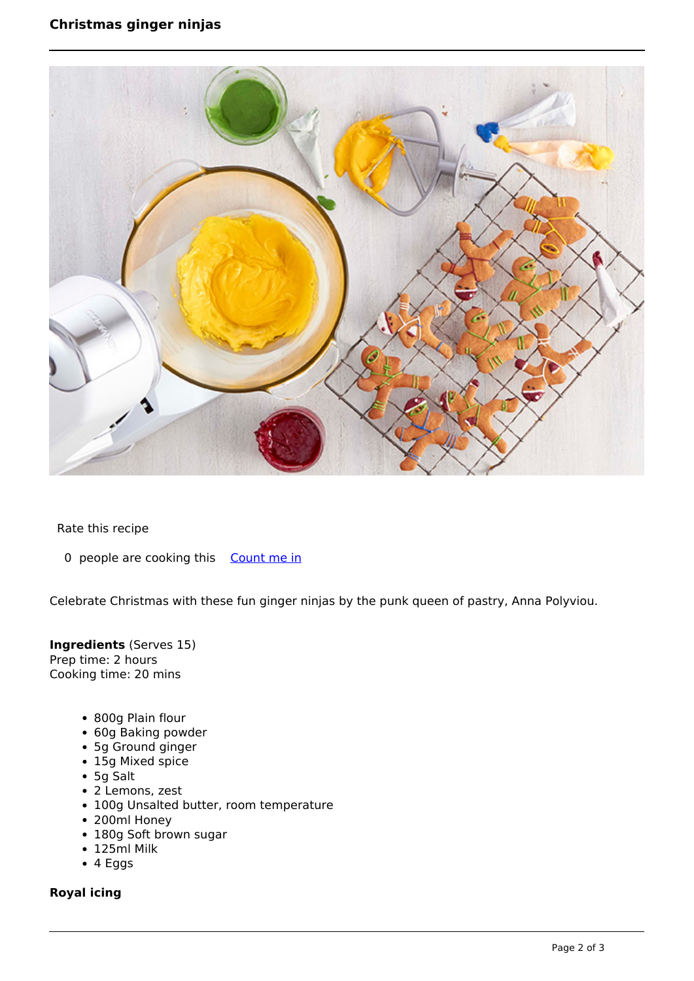# **Christmas ginger ninjas**



Rate this recipe

0 people are cooking this [Count me in](https://www.naturalhealthmag.com.au/flag/flag/favorites/2240?destination=printpdf%2F2240&token=4b71490ddc7d75164905e6bdfd689a9c)

Celebrate Christmas with these fun ginger ninjas by the punk queen of pastry, Anna Polyviou.

**Ingredients** (Serves 15) Prep time: 2 hours Cooking time: 20 mins

- 800g Plain flour
- 60g Baking powder
- 5g Ground ginger
- 15g Mixed spice
- 5g Salt
- 2 Lemons, zest
- 100g Unsalted butter, room temperature
- 200ml Honey
- 180g Soft brown sugar
- 125ml Milk
- 4 Eggs

#### **Royal icing**